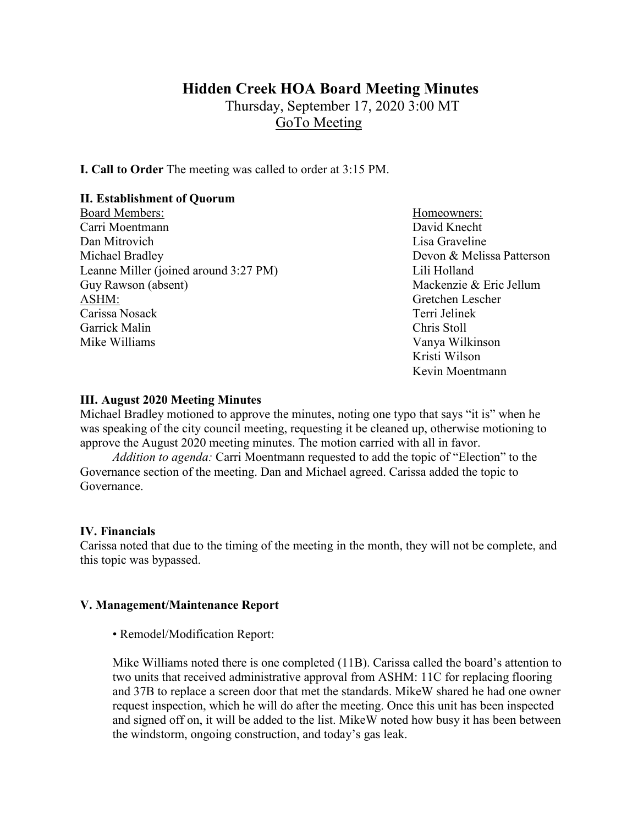# **Hidden Creek HOA Board Meeting Minutes**

Thursday, September 17, 2020 3:00 MT GoTo Meeting

**I. Call to Order** The meeting was called to order at 3:15 PM.

### **II. Establishment of Quorum**

- Board Members: New York 1, 1999 and Members: Homeowners: Carri Moentmann David Knecht Dan Mitrovich **Lisa Graveline** Lisa Graveline Michael Bradley Devon & Melissa Patterson Leanne Miller (joined around 3:27 PM) Lili Holland Guy Rawson (absent) Mackenzie & Eric Jellum ASHM: Gretchen Lescher Carissa Nosack Terri Jelinek Garrick Malin Chris Stoll Mike Williams **Vanya Wilkinson** Vanya Wilkinson
	- Kristi Wilson Kevin Moentmann

### **III. August 2020 Meeting Minutes**

Michael Bradley motioned to approve the minutes, noting one typo that says "it is" when he was speaking of the city council meeting, requesting it be cleaned up, otherwise motioning to approve the August 2020 meeting minutes. The motion carried with all in favor.

*Addition to agenda:* Carri Moentmann requested to add the topic of "Election" to the Governance section of the meeting. Dan and Michael agreed. Carissa added the topic to Governance.

### **IV. Financials**

Carissa noted that due to the timing of the meeting in the month, they will not be complete, and this topic was bypassed.

### **V. Management/Maintenance Report**

• Remodel/Modification Report:

Mike Williams noted there is one completed (11B). Carissa called the board's attention to two units that received administrative approval from ASHM: 11C for replacing flooring and 37B to replace a screen door that met the standards. MikeW shared he had one owner request inspection, which he will do after the meeting. Once this unit has been inspected and signed off on, it will be added to the list. MikeW noted how busy it has been between the windstorm, ongoing construction, and today's gas leak.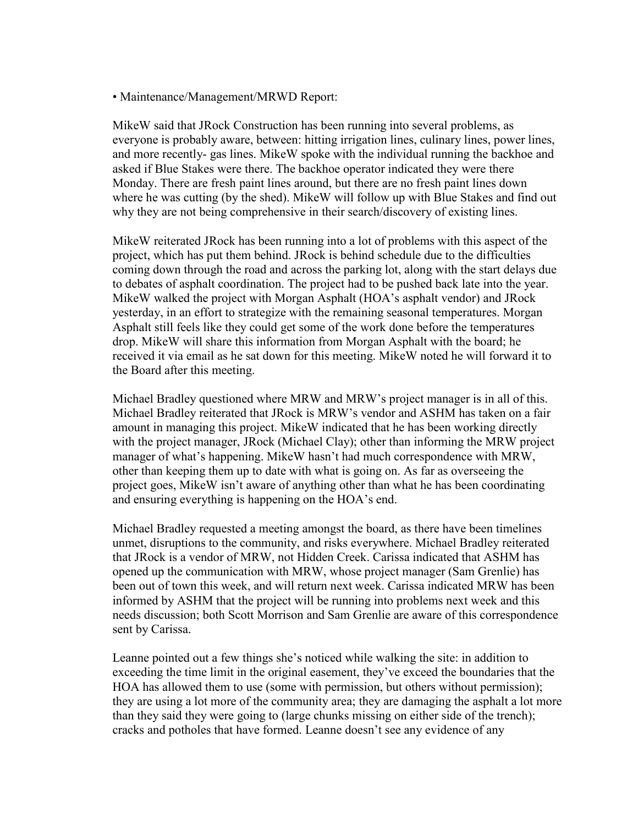• Maintenance/Management/MRWD Report:

MikeW said that JRock Construction has been running into several problems, as everyone is probably aware, between: hitting irrigation lines, culinary lines, power lines, and more recently- gas lines. MikeW spoke with the individual running the backhoe and asked if Blue Stakes were there. The backhoe operator indicated they were there Monday. There are fresh paint lines around, but there are no fresh paint lines down where he was cutting (by the shed). MikeW will follow up with Blue Stakes and find out why they are not being comprehensive in their search/discovery of existing lines.

MikeW reiterated JRock has been running into a lot of problems with this aspect of the project, which has put them behind. JRock is behind schedule due to the difficulties coming down through the road and across the parking lot, along with the start delays due to debates of asphalt coordination. The project had to be pushed back late into the year. MikeW walked the project with Morgan Asphalt (HOA's asphalt vendor) and JRock yesterday, in an effort to strategize with the remaining seasonal temperatures. Morgan Asphalt still feels like they could get some of the work done before the temperatures drop. MikeW will share this information from Morgan Asphalt with the board; he received it via email as he sat down for this meeting. MikeW noted he will forward it to the Board after this meeting.

Michael Bradley questioned where MRW and MRW's project manager is in all of this. Michael Bradley reiterated that JRock is MRW's vendor and ASHM has taken on a fair amount in managing this project. MikeW indicated that he has been working directly with the project manager, JRock (Michael Clay); other than informing the MRW project manager of what's happening. MikeW hasn't had much correspondence with MRW, other than keeping them up to date with what is going on. As far as overseeing the project goes, MikeW isn't aware of anything other than what he has been coordinating and ensuring everything is happening on the HOA's end.

Michael Bradley requested a meeting amongst the board, as there have been timelines unmet, disruptions to the community, and risks everywhere. Michael Bradley reiterated that JRock is a vendor of MRW, not Hidden Creek. Carissa indicated that ASHM has opened up the communication with MRW, whose project manager (Sam Grenlie) has been out of town this week, and will return next week. Carissa indicated MRW has been informed by ASHM that the project will be running into problems next week and this needs discussion; both Scott Morrison and Sam Grenlie are aware of this correspondence sent by Carissa.

Leanne pointed out a few things she's noticed while walking the site: in addition to exceeding the time limit in the original easement, they've exceed the boundaries that the HOA has allowed them to use (some with permission, but others without permission); they are using a lot more of the community area; they are damaging the asphalt a lot more than they said they were going to (large chunks missing on either side of the trench); cracks and potholes that have formed. Leanne doesn't see any evidence of any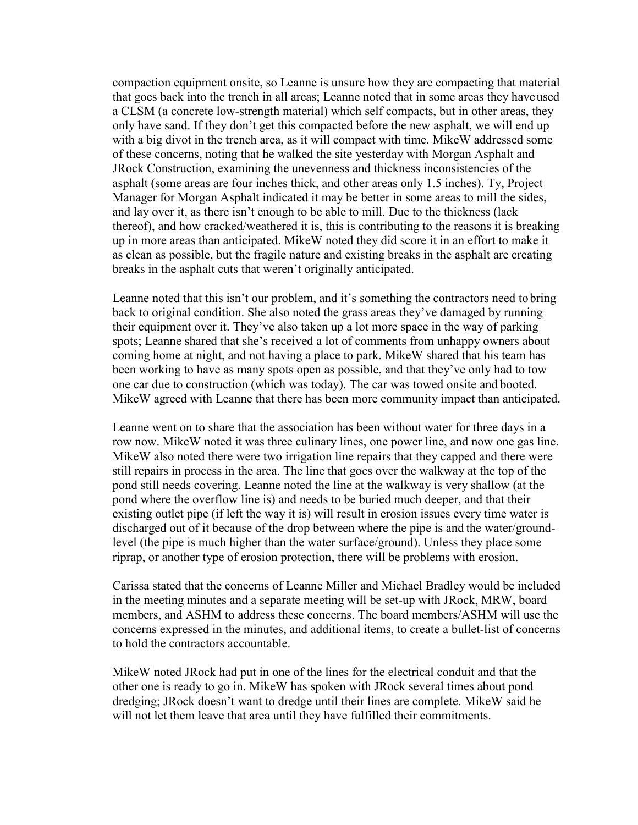compaction equipment onsite, so Leanne is unsure how they are compacting that material that goes back into the trench in all areas; Leanne noted that in some areas they haveused a CLSM (a concrete low-strength material) which self compacts, but in other areas, they only have sand. If they don't get this compacted before the new asphalt, we will end up with a big divot in the trench area, as it will compact with time. MikeW addressed some of these concerns, noting that he walked the site yesterday with Morgan Asphalt and JRock Construction, examining the unevenness and thickness inconsistencies of the asphalt (some areas are four inches thick, and other areas only 1.5 inches). Ty, Project Manager for Morgan Asphalt indicated it may be better in some areas to mill the sides, and lay over it, as there isn't enough to be able to mill. Due to the thickness (lack thereof), and how cracked/weathered it is, this is contributing to the reasons it is breaking up in more areas than anticipated. MikeW noted they did score it in an effort to make it as clean as possible, but the fragile nature and existing breaks in the asphalt are creating breaks in the asphalt cuts that weren't originally anticipated.

Leanne noted that this isn't our problem, and it's something the contractors need tobring back to original condition. She also noted the grass areas they've damaged by running their equipment over it. They've also taken up a lot more space in the way of parking spots; Leanne shared that she's received a lot of comments from unhappy owners about coming home at night, and not having a place to park. MikeW shared that his team has been working to have as many spots open as possible, and that they've only had to tow one car due to construction (which was today). The car was towed onsite and booted. MikeW agreed with Leanne that there has been more community impact than anticipated.

Leanne went on to share that the association has been without water for three days in a row now. MikeW noted it was three culinary lines, one power line, and now one gas line. MikeW also noted there were two irrigation line repairs that they capped and there were still repairs in process in the area. The line that goes over the walkway at the top of the pond still needs covering. Leanne noted the line at the walkway is very shallow (at the pond where the overflow line is) and needs to be buried much deeper, and that their existing outlet pipe (if left the way it is) will result in erosion issues every time water is discharged out of it because of the drop between where the pipe is and the water/groundlevel (the pipe is much higher than the water surface/ground). Unless they place some riprap, or another type of erosion protection, there will be problems with erosion.

Carissa stated that the concerns of Leanne Miller and Michael Bradley would be included in the meeting minutes and a separate meeting will be set-up with JRock, MRW, board members, and ASHM to address these concerns. The board members/ASHM will use the concerns expressed in the minutes, and additional items, to create a bullet-list of concerns to hold the contractors accountable.

MikeW noted JRock had put in one of the lines for the electrical conduit and that the other one is ready to go in. MikeW has spoken with JRock several times about pond dredging; JRock doesn't want to dredge until their lines are complete. MikeW said he will not let them leave that area until they have fulfilled their commitments.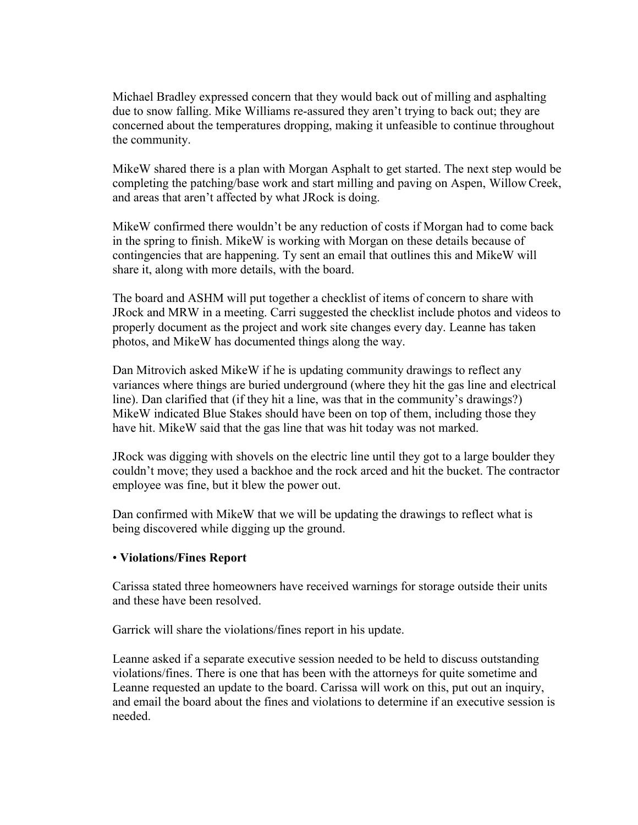Michael Bradley expressed concern that they would back out of milling and asphalting due to snow falling. Mike Williams re-assured they aren't trying to back out; they are concerned about the temperatures dropping, making it unfeasible to continue throughout the community.

MikeW shared there is a plan with Morgan Asphalt to get started. The next step would be completing the patching/base work and start milling and paving on Aspen, Willow Creek, and areas that aren't affected by what JRock is doing.

MikeW confirmed there wouldn't be any reduction of costs if Morgan had to come back in the spring to finish. MikeW is working with Morgan on these details because of contingencies that are happening. Ty sent an email that outlines this and MikeW will share it, along with more details, with the board.

The board and ASHM will put together a checklist of items of concern to share with JRock and MRW in a meeting. Carri suggested the checklist include photos and videos to properly document as the project and work site changes every day. Leanne has taken photos, and MikeW has documented things along the way.

Dan Mitrovich asked MikeW if he is updating community drawings to reflect any variances where things are buried underground (where they hit the gas line and electrical line). Dan clarified that (if they hit a line, was that in the community's drawings?) MikeW indicated Blue Stakes should have been on top of them, including those they have hit. MikeW said that the gas line that was hit today was not marked.

JRock was digging with shovels on the electric line until they got to a large boulder they couldn't move; they used a backhoe and the rock arced and hit the bucket. The contractor employee was fine, but it blew the power out.

Dan confirmed with MikeW that we will be updating the drawings to reflect what is being discovered while digging up the ground.

### • **Violations/Fines Report**

Carissa stated three homeowners have received warnings for storage outside their units and these have been resolved.

Garrick will share the violations/fines report in his update.

Leanne asked if a separate executive session needed to be held to discuss outstanding violations/fines. There is one that has been with the attorneys for quite sometime and Leanne requested an update to the board. Carissa will work on this, put out an inquiry, and email the board about the fines and violations to determine if an executive session is needed.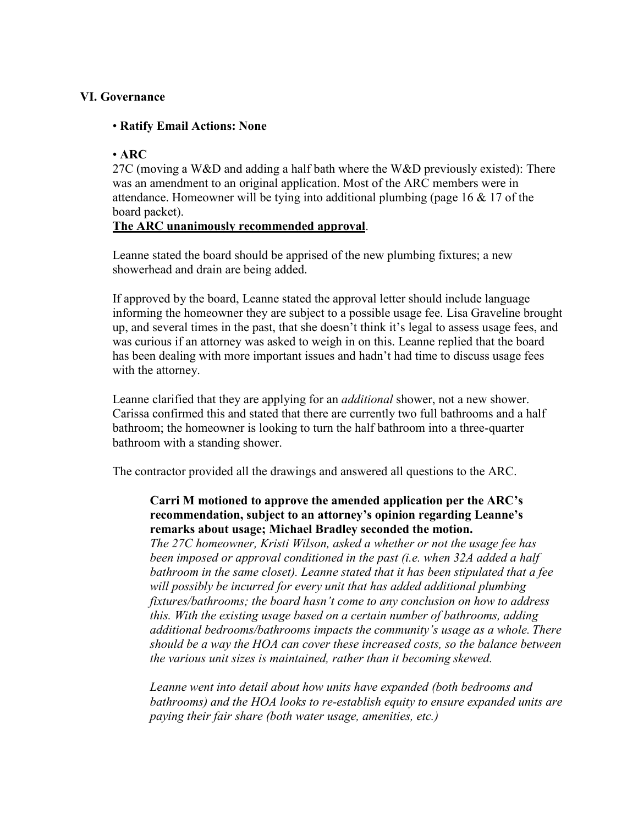### **VI. Governance**

### • **Ratify Email Actions: None**

### • **ARC**

27C (moving a W&D and adding a half bath where the W&D previously existed): There was an amendment to an original application. Most of the ARC members were in attendance. Homeowner will be tying into additional plumbing (page 16 & 17 of the board packet).

### **The ARC unanimously recommended approval**.

Leanne stated the board should be apprised of the new plumbing fixtures; a new showerhead and drain are being added.

If approved by the board, Leanne stated the approval letter should include language informing the homeowner they are subject to a possible usage fee. Lisa Graveline brought up, and several times in the past, that she doesn't think it's legal to assess usage fees, and was curious if an attorney was asked to weigh in on this. Leanne replied that the board has been dealing with more important issues and hadn't had time to discuss usage fees with the attorney.

Leanne clarified that they are applying for an *additional* shower, not a new shower. Carissa confirmed this and stated that there are currently two full bathrooms and a half bathroom; the homeowner is looking to turn the half bathroom into a three-quarter bathroom with a standing shower.

The contractor provided all the drawings and answered all questions to the ARC.

### **Carri M motioned to approve the amended application per the ARC's recommendation, subject to an attorney's opinion regarding Leanne's remarks about usage; Michael Bradley seconded the motion.**

*The 27C homeowner, Kristi Wilson, asked a whether or not the usage fee has been imposed or approval conditioned in the past (i.e. when 32A added a half bathroom in the same closet). Leanne stated that it has been stipulated that a fee will possibly be incurred for every unit that has added additional plumbing fixtures/bathrooms; the board hasn't come to any conclusion on how to address this. With the existing usage based on a certain number of bathrooms, adding additional bedrooms/bathrooms impacts the community's usage as a whole. There should be a way the HOA can cover these increased costs, so the balance between the various unit sizes is maintained, rather than it becoming skewed.*

*Leanne went into detail about how units have expanded (both bedrooms and bathrooms) and the HOA looks to re-establish equity to ensure expanded units are paying their fair share (both water usage, amenities, etc.)*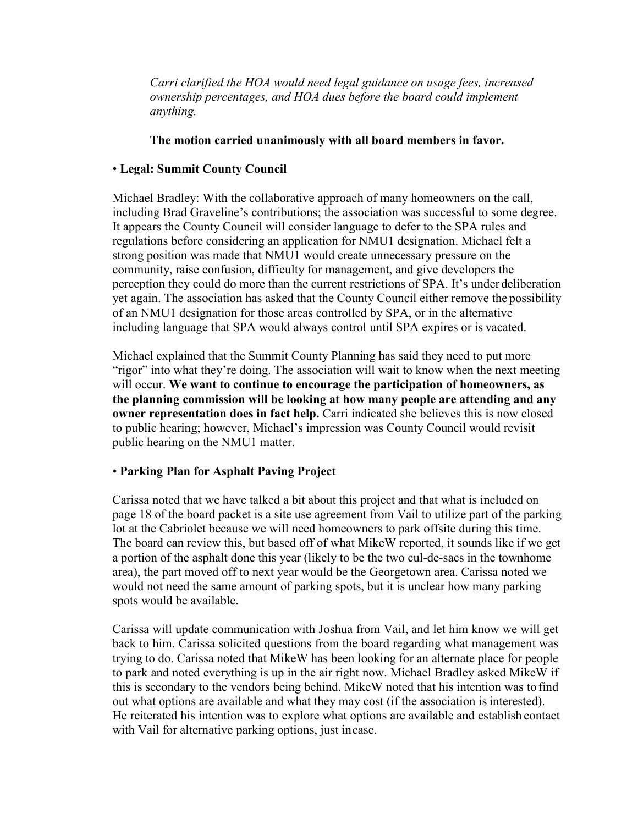*Carri clarified the HOA would need legal guidance on usage fees, increased ownership percentages, and HOA dues before the board could implement anything.*

### **The motion carried unanimously with all board members in favor.**

### • **Legal: Summit County Council**

Michael Bradley: With the collaborative approach of many homeowners on the call, including Brad Graveline's contributions; the association was successful to some degree. It appears the County Council will consider language to defer to the SPA rules and regulations before considering an application for NMU1 designation. Michael felt a strong position was made that NMU1 would create unnecessary pressure on the community, raise confusion, difficulty for management, and give developers the perception they could do more than the current restrictions of SPA. It's under deliberation yet again. The association has asked that the County Council either remove the possibility of an NMU1 designation for those areas controlled by SPA, or in the alternative including language that SPA would always control until SPA expires or is vacated.

Michael explained that the Summit County Planning has said they need to put more "rigor" into what they're doing. The association will wait to know when the next meeting will occur. **We want to continue to encourage the participation of homeowners, as the planning commission will be looking at how many people are attending and any owner representation does in fact help.** Carri indicated she believes this is now closed to public hearing; however, Michael's impression was County Council would revisit public hearing on the NMU1 matter.

# • **Parking Plan for Asphalt Paving Project**

Carissa noted that we have talked a bit about this project and that what is included on page 18 of the board packet is a site use agreement from Vail to utilize part of the parking lot at the Cabriolet because we will need homeowners to park offsite during this time. The board can review this, but based off of what MikeW reported, it sounds like if we get a portion of the asphalt done this year (likely to be the two cul-de-sacs in the townhome area), the part moved off to next year would be the Georgetown area. Carissa noted we would not need the same amount of parking spots, but it is unclear how many parking spots would be available.

Carissa will update communication with Joshua from Vail, and let him know we will get back to him. Carissa solicited questions from the board regarding what management was trying to do. Carissa noted that MikeW has been looking for an alternate place for people to park and noted everything is up in the air right now. Michael Bradley asked MikeW if this is secondary to the vendors being behind. MikeW noted that his intention was to find out what options are available and what they may cost (if the association is interested). He reiterated his intention was to explore what options are available and establish contact with Vail for alternative parking options, just incase.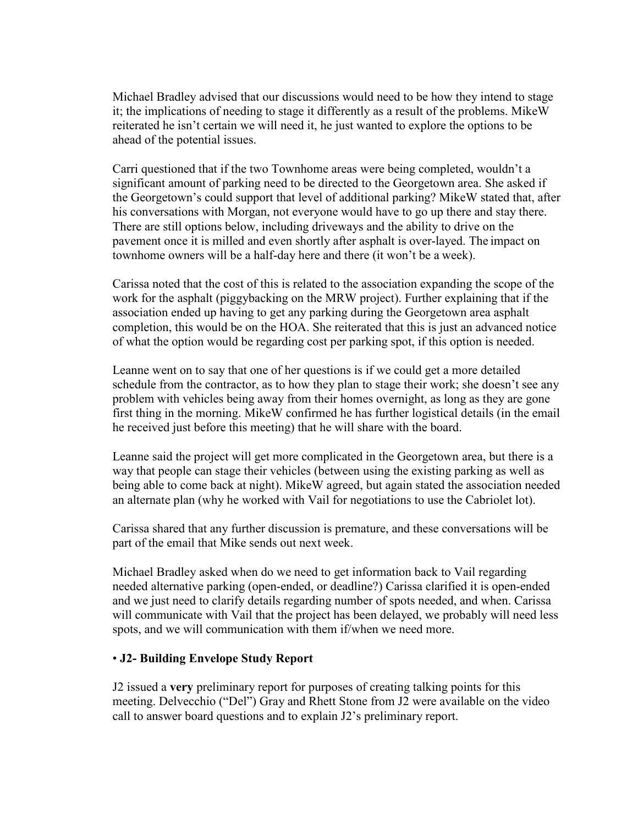Michael Bradley advised that our discussions would need to be how they intend to stage it; the implications of needing to stage it differently as a result of the problems. MikeW reiterated he isn't certain we will need it, he just wanted to explore the options to be ahead of the potential issues.

Carri questioned that if the two Townhome areas were being completed, wouldn't a significant amount of parking need to be directed to the Georgetown area. She asked if the Georgetown's could support that level of additional parking? MikeW stated that, after his conversations with Morgan, not everyone would have to go up there and stay there. There are still options below, including driveways and the ability to drive on the pavement once it is milled and even shortly after asphalt is over-layed. The impact on townhome owners will be a half-day here and there (it won't be a week).

Carissa noted that the cost of this is related to the association expanding the scope of the work for the asphalt (piggybacking on the MRW project). Further explaining that if the association ended up having to get any parking during the Georgetown area asphalt completion, this would be on the HOA. She reiterated that this is just an advanced notice of what the option would be regarding cost per parking spot, if this option is needed.

Leanne went on to say that one of her questions is if we could get a more detailed schedule from the contractor, as to how they plan to stage their work; she doesn't see any problem with vehicles being away from their homes overnight, as long as they are gone first thing in the morning. MikeW confirmed he has further logistical details (in the email he received just before this meeting) that he will share with the board.

Leanne said the project will get more complicated in the Georgetown area, but there is a way that people can stage their vehicles (between using the existing parking as well as being able to come back at night). MikeW agreed, but again stated the association needed an alternate plan (why he worked with Vail for negotiations to use the Cabriolet lot).

Carissa shared that any further discussion is premature, and these conversations will be part of the email that Mike sends out next week.

Michael Bradley asked when do we need to get information back to Vail regarding needed alternative parking (open-ended, or deadline?) Carissa clarified it is open-ended and we just need to clarify details regarding number of spots needed, and when. Carissa will communicate with Vail that the project has been delayed, we probably will need less spots, and we will communication with them if/when we need more.

# • **J2- Building Envelope Study Report**

J2 issued a **very** preliminary report for purposes of creating talking points for this meeting. Delvecchio ("Del") Gray and Rhett Stone from J2 were available on the video call to answer board questions and to explain J2's preliminary report.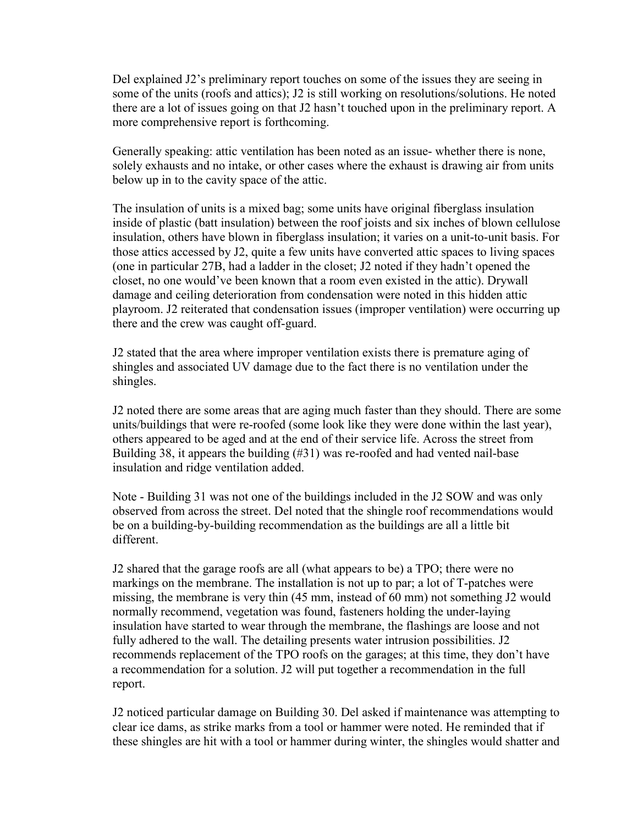Del explained J2's preliminary report touches on some of the issues they are seeing in some of the units (roofs and attics); J2 is still working on resolutions/solutions. He noted there are a lot of issues going on that J2 hasn't touched upon in the preliminary report. A more comprehensive report is forthcoming.

Generally speaking: attic ventilation has been noted as an issue- whether there is none, solely exhausts and no intake, or other cases where the exhaust is drawing air from units below up in to the cavity space of the attic.

The insulation of units is a mixed bag; some units have original fiberglass insulation inside of plastic (batt insulation) between the roof joists and six inches of blown cellulose insulation, others have blown in fiberglass insulation; it varies on a unit-to-unit basis. For those attics accessed by J2, quite a few units have converted attic spaces to living spaces (one in particular 27B, had a ladder in the closet; J2 noted if they hadn't opened the closet, no one would've been known that a room even existed in the attic). Drywall damage and ceiling deterioration from condensation were noted in this hidden attic playroom. J2 reiterated that condensation issues (improper ventilation) were occurring up there and the crew was caught off-guard.

J2 stated that the area where improper ventilation exists there is premature aging of shingles and associated UV damage due to the fact there is no ventilation under the shingles.

J2 noted there are some areas that are aging much faster than they should. There are some units/buildings that were re-roofed (some look like they were done within the last year), others appeared to be aged and at the end of their service life. Across the street from Building 38, it appears the building (#31) was re-roofed and had vented nail-base insulation and ridge ventilation added.

Note - Building 31 was not one of the buildings included in the J2 SOW and was only observed from across the street. Del noted that the shingle roof recommendations would be on a building-by-building recommendation as the buildings are all a little bit different.

J2 shared that the garage roofs are all (what appears to be) a TPO; there were no markings on the membrane. The installation is not up to par; a lot of T-patches were missing, the membrane is very thin (45 mm, instead of 60 mm) not something J2 would normally recommend, vegetation was found, fasteners holding the under-laying insulation have started to wear through the membrane, the flashings are loose and not fully adhered to the wall. The detailing presents water intrusion possibilities. J2 recommends replacement of the TPO roofs on the garages; at this time, they don't have a recommendation for a solution. J2 will put together a recommendation in the full report.

J2 noticed particular damage on Building 30. Del asked if maintenance was attempting to clear ice dams, as strike marks from a tool or hammer were noted. He reminded that if these shingles are hit with a tool or hammer during winter, the shingles would shatter and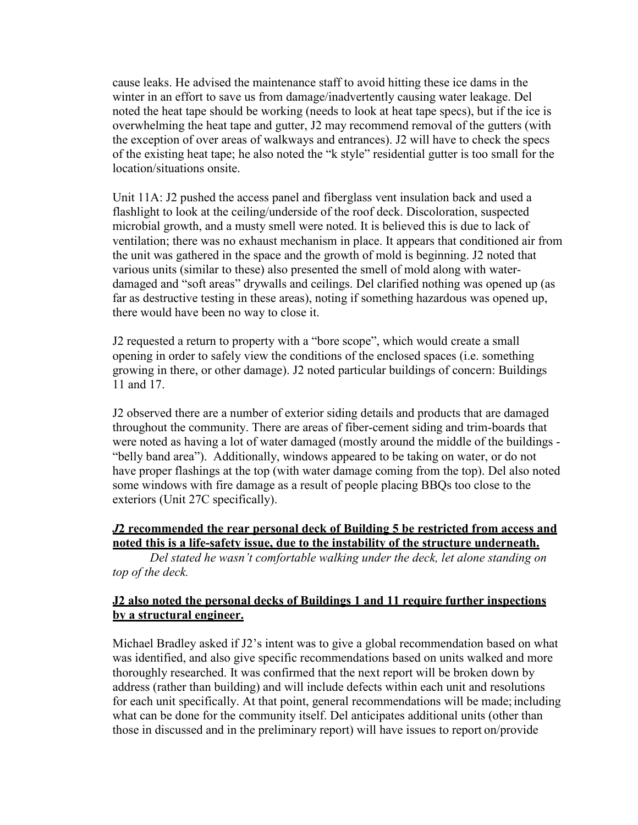cause leaks. He advised the maintenance staff to avoid hitting these ice dams in the winter in an effort to save us from damage/inadvertently causing water leakage. Del noted the heat tape should be working (needs to look at heat tape specs), but if the ice is overwhelming the heat tape and gutter, J2 may recommend removal of the gutters (with the exception of over areas of walkways and entrances). J2 will have to check the specs of the existing heat tape; he also noted the "k style" residential gutter is too small for the location/situations onsite.

Unit 11A: J2 pushed the access panel and fiberglass vent insulation back and used a flashlight to look at the ceiling/underside of the roof deck. Discoloration, suspected microbial growth, and a musty smell were noted. It is believed this is due to lack of ventilation; there was no exhaust mechanism in place. It appears that conditioned air from the unit was gathered in the space and the growth of mold is beginning. J2 noted that various units (similar to these) also presented the smell of mold along with waterdamaged and "soft areas" drywalls and ceilings. Del clarified nothing was opened up (as far as destructive testing in these areas), noting if something hazardous was opened up, there would have been no way to close it.

J2 requested a return to property with a "bore scope", which would create a small opening in order to safely view the conditions of the enclosed spaces (i.e. something growing in there, or other damage). J2 noted particular buildings of concern: Buildings 11 and 17.

J2 observed there are a number of exterior siding details and products that are damaged throughout the community. There are areas of fiber-cement siding and trim-boards that were noted as having a lot of water damaged (mostly around the middle of the buildings - "belly band area"). Additionally, windows appeared to be taking on water, or do not have proper flashings at the top (with water damage coming from the top). Del also noted some windows with fire damage as a result of people placing BBQs too close to the exteriors (Unit 27C specifically).

# *J***2 recommended the rear personal deck of Building 5 be restricted from access and noted this is a life-safety issue, due to the instability of the structure underneath.**

*Del stated he wasn't comfortable walking under the deck, let alone standing on top of the deck.*

### **J2 also noted the personal decks of Buildings 1 and 11 require further inspections by a structural engineer.**

Michael Bradley asked if J2's intent was to give a global recommendation based on what was identified, and also give specific recommendations based on units walked and more thoroughly researched. It was confirmed that the next report will be broken down by address (rather than building) and will include defects within each unit and resolutions for each unit specifically. At that point, general recommendations will be made; including what can be done for the community itself. Del anticipates additional units (other than those in discussed and in the preliminary report) will have issues to report on/provide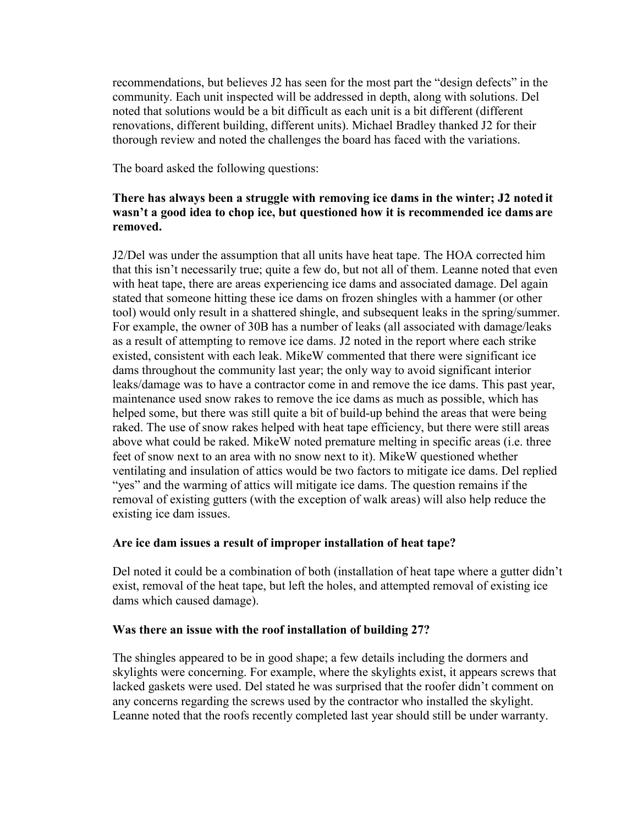recommendations, but believes J2 has seen for the most part the "design defects" in the community. Each unit inspected will be addressed in depth, along with solutions. Del noted that solutions would be a bit difficult as each unit is a bit different (different renovations, different building, different units). Michael Bradley thanked J2 for their thorough review and noted the challenges the board has faced with the variations.

The board asked the following questions:

### **There has always been a struggle with removing ice dams in the winter; J2 noted it wasn't a good idea to chop ice, but questioned how it is recommended ice dams are removed.**

J2/Del was under the assumption that all units have heat tape. The HOA corrected him that this isn't necessarily true; quite a few do, but not all of them. Leanne noted that even with heat tape, there are areas experiencing ice dams and associated damage. Del again stated that someone hitting these ice dams on frozen shingles with a hammer (or other tool) would only result in a shattered shingle, and subsequent leaks in the spring/summer. For example, the owner of 30B has a number of leaks (all associated with damage/leaks as a result of attempting to remove ice dams. J2 noted in the report where each strike existed, consistent with each leak. MikeW commented that there were significant ice dams throughout the community last year; the only way to avoid significant interior leaks/damage was to have a contractor come in and remove the ice dams. This past year, maintenance used snow rakes to remove the ice dams as much as possible, which has helped some, but there was still quite a bit of build-up behind the areas that were being raked. The use of snow rakes helped with heat tape efficiency, but there were still areas above what could be raked. MikeW noted premature melting in specific areas (i.e. three feet of snow next to an area with no snow next to it). MikeW questioned whether ventilating and insulation of attics would be two factors to mitigate ice dams. Del replied "yes" and the warming of attics will mitigate ice dams. The question remains if the removal of existing gutters (with the exception of walk areas) will also help reduce the existing ice dam issues.

### **Are ice dam issues a result of improper installation of heat tape?**

Del noted it could be a combination of both (installation of heat tape where a gutter didn't exist, removal of the heat tape, but left the holes, and attempted removal of existing ice dams which caused damage).

### **Was there an issue with the roof installation of building 27?**

The shingles appeared to be in good shape; a few details including the dormers and skylights were concerning. For example, where the skylights exist, it appears screws that lacked gaskets were used. Del stated he was surprised that the roofer didn't comment on any concerns regarding the screws used by the contractor who installed the skylight. Leanne noted that the roofs recently completed last year should still be under warranty.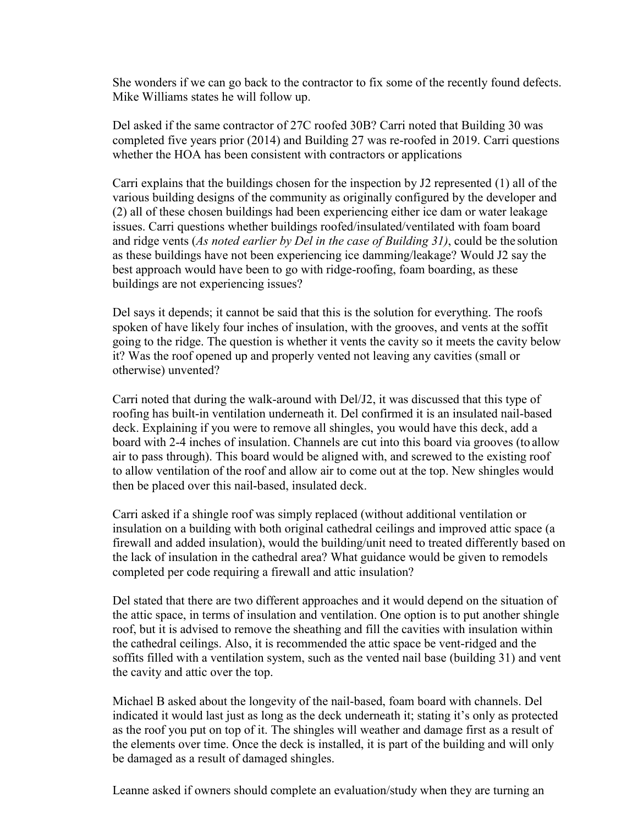She wonders if we can go back to the contractor to fix some of the recently found defects. Mike Williams states he will follow up.

Del asked if the same contractor of 27C roofed 30B? Carri noted that Building 30 was completed five years prior (2014) and Building 27 was re-roofed in 2019. Carri questions whether the HOA has been consistent with contractors or applications

Carri explains that the buildings chosen for the inspection by J2 represented (1) all of the various building designs of the community as originally configured by the developer and (2) all of these chosen buildings had been experiencing either ice dam or water leakage issues. Carri questions whether buildings roofed/insulated/ventilated with foam board and ridge vents (*As noted earlier by Del in the case of Building 31)*, could be the solution as these buildings have not been experiencing ice damming/leakage? Would J2 say the best approach would have been to go with ridge-roofing, foam boarding, as these buildings are not experiencing issues?

Del says it depends; it cannot be said that this is the solution for everything. The roofs spoken of have likely four inches of insulation, with the grooves, and vents at the soffit going to the ridge. The question is whether it vents the cavity so it meets the cavity below it? Was the roof opened up and properly vented not leaving any cavities (small or otherwise) unvented?

Carri noted that during the walk-around with Del/J2, it was discussed that this type of roofing has built-in ventilation underneath it. Del confirmed it is an insulated nail-based deck. Explaining if you were to remove all shingles, you would have this deck, add a board with 2-4 inches of insulation. Channels are cut into this board via grooves (to allow air to pass through). This board would be aligned with, and screwed to the existing roof to allow ventilation of the roof and allow air to come out at the top. New shingles would then be placed over this nail-based, insulated deck.

Carri asked if a shingle roof was simply replaced (without additional ventilation or insulation on a building with both original cathedral ceilings and improved attic space (a firewall and added insulation), would the building/unit need to treated differently based on the lack of insulation in the cathedral area? What guidance would be given to remodels completed per code requiring a firewall and attic insulation?

Del stated that there are two different approaches and it would depend on the situation of the attic space, in terms of insulation and ventilation. One option is to put another shingle roof, but it is advised to remove the sheathing and fill the cavities with insulation within the cathedral ceilings. Also, it is recommended the attic space be vent-ridged and the soffits filled with a ventilation system, such as the vented nail base (building 31) and vent the cavity and attic over the top.

Michael B asked about the longevity of the nail-based, foam board with channels. Del indicated it would last just as long as the deck underneath it; stating it's only as protected as the roof you put on top of it. The shingles will weather and damage first as a result of the elements over time. Once the deck is installed, it is part of the building and will only be damaged as a result of damaged shingles.

Leanne asked if owners should complete an evaluation/study when they are turning an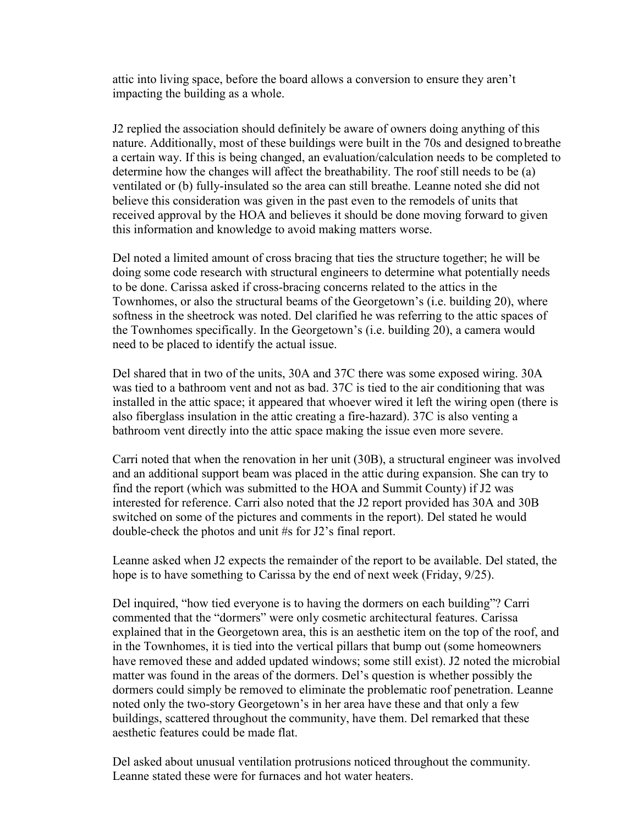attic into living space, before the board allows a conversion to ensure they aren't impacting the building as a whole.

J2 replied the association should definitely be aware of owners doing anything of this nature. Additionally, most of these buildings were built in the 70s and designed to breathe a certain way. If this is being changed, an evaluation/calculation needs to be completed to determine how the changes will affect the breathability. The roof still needs to be (a) ventilated or (b) fully-insulated so the area can still breathe. Leanne noted she did not believe this consideration was given in the past even to the remodels of units that received approval by the HOA and believes it should be done moving forward to given this information and knowledge to avoid making matters worse.

Del noted a limited amount of cross bracing that ties the structure together; he will be doing some code research with structural engineers to determine what potentially needs to be done. Carissa asked if cross-bracing concerns related to the attics in the Townhomes, or also the structural beams of the Georgetown's (i.e. building 20), where softness in the sheetrock was noted. Del clarified he was referring to the attic spaces of the Townhomes specifically. In the Georgetown's (i.e. building 20), a camera would need to be placed to identify the actual issue.

Del shared that in two of the units, 30A and 37C there was some exposed wiring. 30A was tied to a bathroom vent and not as bad. 37C is tied to the air conditioning that was installed in the attic space; it appeared that whoever wired it left the wiring open (there is also fiberglass insulation in the attic creating a fire-hazard). 37C is also venting a bathroom vent directly into the attic space making the issue even more severe.

Carri noted that when the renovation in her unit (30B), a structural engineer was involved and an additional support beam was placed in the attic during expansion. She can try to find the report (which was submitted to the HOA and Summit County) if J2 was interested for reference. Carri also noted that the J2 report provided has 30A and 30B switched on some of the pictures and comments in the report). Del stated he would double-check the photos and unit #s for J2's final report.

Leanne asked when J2 expects the remainder of the report to be available. Del stated, the hope is to have something to Carissa by the end of next week (Friday, 9/25).

Del inquired, "how tied everyone is to having the dormers on each building"? Carri commented that the "dormers" were only cosmetic architectural features. Carissa explained that in the Georgetown area, this is an aesthetic item on the top of the roof, and in the Townhomes, it is tied into the vertical pillars that bump out (some homeowners have removed these and added updated windows; some still exist). J2 noted the microbial matter was found in the areas of the dormers. Del's question is whether possibly the dormers could simply be removed to eliminate the problematic roof penetration. Leanne noted only the two-story Georgetown's in her area have these and that only a few buildings, scattered throughout the community, have them. Del remarked that these aesthetic features could be made flat.

Del asked about unusual ventilation protrusions noticed throughout the community. Leanne stated these were for furnaces and hot water heaters.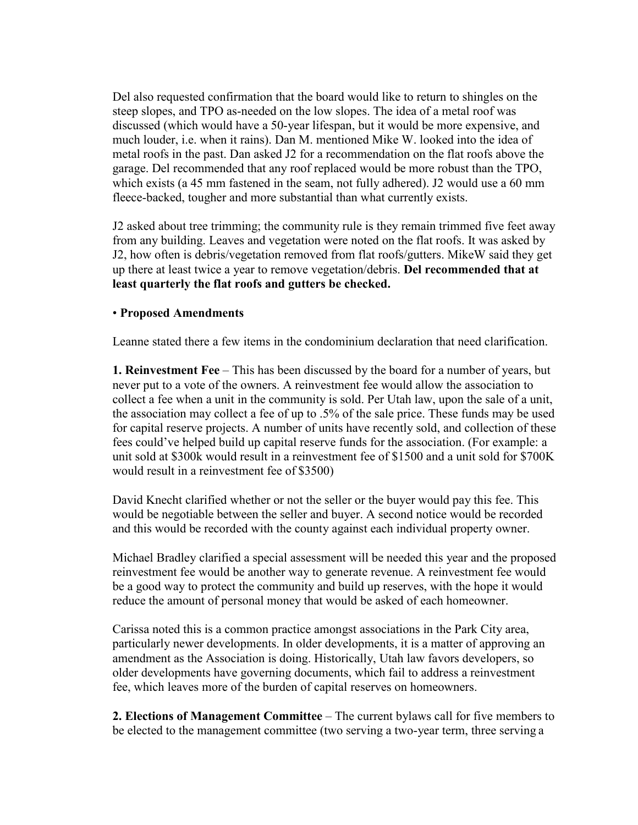Del also requested confirmation that the board would like to return to shingles on the steep slopes, and TPO as-needed on the low slopes. The idea of a metal roof was discussed (which would have a 50-year lifespan, but it would be more expensive, and much louder, i.e. when it rains). Dan M. mentioned Mike W. looked into the idea of metal roofs in the past. Dan asked J2 for a recommendation on the flat roofs above the garage. Del recommended that any roof replaced would be more robust than the TPO, which exists (a 45 mm fastened in the seam, not fully adhered). J2 would use a 60 mm fleece-backed, tougher and more substantial than what currently exists.

J2 asked about tree trimming; the community rule is they remain trimmed five feet away from any building. Leaves and vegetation were noted on the flat roofs. It was asked by J2, how often is debris/vegetation removed from flat roofs/gutters. MikeW said they get up there at least twice a year to remove vegetation/debris. **Del recommended that at least quarterly the flat roofs and gutters be checked.**

### • **Proposed Amendments**

Leanne stated there a few items in the condominium declaration that need clarification.

**1. Reinvestment Fee** – This has been discussed by the board for a number of years, but never put to a vote of the owners. A reinvestment fee would allow the association to collect a fee when a unit in the community is sold. Per Utah law, upon the sale of a unit, the association may collect a fee of up to .5% of the sale price. These funds may be used for capital reserve projects. A number of units have recently sold, and collection of these fees could've helped build up capital reserve funds for the association. (For example: a unit sold at \$300k would result in a reinvestment fee of \$1500 and a unit sold for \$700K would result in a reinvestment fee of \$3500)

David Knecht clarified whether or not the seller or the buyer would pay this fee. This would be negotiable between the seller and buyer. A second notice would be recorded and this would be recorded with the county against each individual property owner.

Michael Bradley clarified a special assessment will be needed this year and the proposed reinvestment fee would be another way to generate revenue. A reinvestment fee would be a good way to protect the community and build up reserves, with the hope it would reduce the amount of personal money that would be asked of each homeowner.

Carissa noted this is a common practice amongst associations in the Park City area, particularly newer developments. In older developments, it is a matter of approving an amendment as the Association is doing. Historically, Utah law favors developers, so older developments have governing documents, which fail to address a reinvestment fee, which leaves more of the burden of capital reserves on homeowners.

**2. Elections of Management Committee** – The current bylaws call for five members to be elected to the management committee (two serving a two-year term, three serving a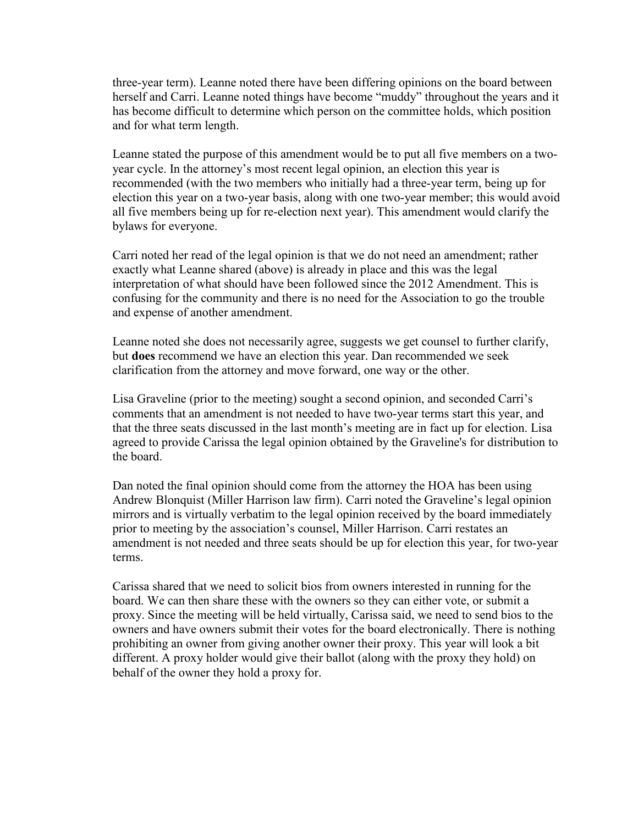three-year term). Leanne noted there have been differing opinions on the board between herself and Carri. Leanne noted things have become "muddy" throughout the years and it has become difficult to determine which person on the committee holds, which position and for what term length.

Leanne stated the purpose of this amendment would be to put all five members on a twoyear cycle. In the attorney's most recent legal opinion, an election this year is recommended (with the two members who initially had a three-year term, being up for election this year on a two-year basis, along with one two-year member; this would avoid all five members being up for re-election next year). This amendment would clarify the bylaws for everyone.

Carri noted her read of the legal opinion is that we do not need an amendment; rather exactly what Leanne shared (above) is already in place and this was the legal interpretation of what should have been followed since the 2012 Amendment. This is confusing for the community and there is no need for the Association to go the trouble and expense of another amendment.

Leanne noted she does not necessarily agree, suggests we get counsel to further clarify, but **does** recommend we have an election this year. Dan recommended we seek clarification from the attorney and move forward, one way or the other.

Lisa Graveline (prior to the meeting) sought a second opinion, and seconded Carri's comments that an amendment is not needed to have two-year terms start this year, and that the three seats discussed in the last month's meeting are in fact up for election. Lisa agreed to provide Carissa the legal opinion obtained by the Graveline's for distribution to the board.

Dan noted the final opinion should come from the attorney the HOA has been using Andrew Blonquist (Miller Harrison law firm). Carri noted the Graveline's legal opinion mirrors and is virtually verbatim to the legal opinion received by the board immediately prior to meeting by the association's counsel, Miller Harrison. Carri restates an amendment is not needed and three seats should be up for election this year, for two-year terms.

Carissa shared that we need to solicit bios from owners interested in running for the board. We can then share these with the owners so they can either vote, or submit a proxy. Since the meeting will be held virtually, Carissa said, we need to send bios to the owners and have owners submit their votes for the board electronically. There is nothing prohibiting an owner from giving another owner their proxy. This year will look a bit different. A proxy holder would give their ballot (along with the proxy they hold) on behalf of the owner they hold a proxy for.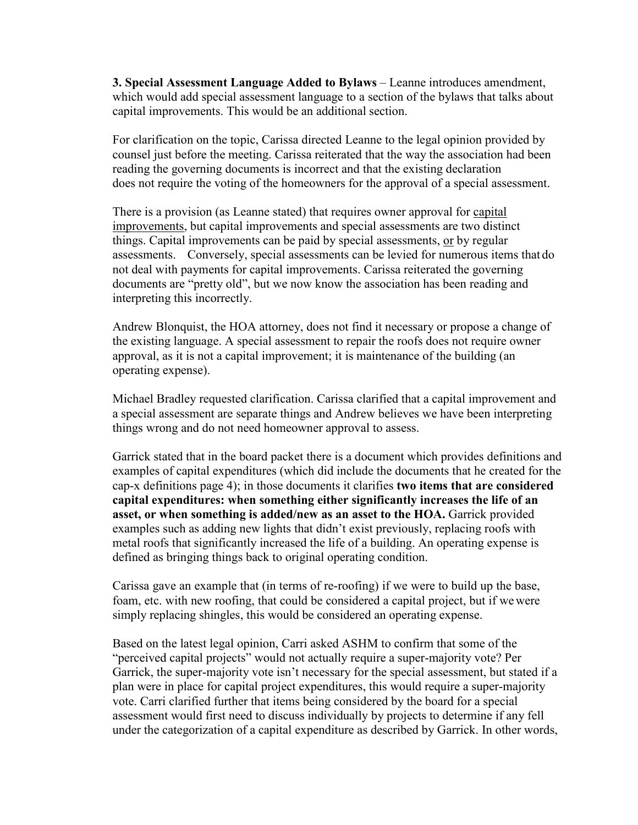**3. Special Assessment Language Added to Bylaws** – Leanne introduces amendment, which would add special assessment language to a section of the bylaws that talks about capital improvements. This would be an additional section.

For clarification on the topic, Carissa directed Leanne to the legal opinion provided by counsel just before the meeting. Carissa reiterated that the way the association had been reading the governing documents is incorrect and that the existing declaration does not require the voting of the homeowners for the approval of a special assessment.

There is a provision (as Leanne stated) that requires owner approval for capital improvements, but capital improvements and special assessments are two distinct things. Capital improvements can be paid by special assessments, or by regular assessments. Conversely, special assessments can be levied for numerous items that do not deal with payments for capital improvements. Carissa reiterated the governing documents are "pretty old", but we now know the association has been reading and interpreting this incorrectly.

Andrew Blonquist, the HOA attorney, does not find it necessary or propose a change of the existing language. A special assessment to repair the roofs does not require owner approval, as it is not a capital improvement; it is maintenance of the building (an operating expense).

Michael Bradley requested clarification. Carissa clarified that a capital improvement and a special assessment are separate things and Andrew believes we have been interpreting things wrong and do not need homeowner approval to assess.

Garrick stated that in the board packet there is a document which provides definitions and examples of capital expenditures (which did include the documents that he created for the cap-x definitions page 4); in those documents it clarifies **two items that are considered capital expenditures: when something either significantly increases the life of an**  asset, or when something is added/new as an asset to the HOA. Garrick provided examples such as adding new lights that didn't exist previously, replacing roofs with metal roofs that significantly increased the life of a building. An operating expense is defined as bringing things back to original operating condition.

Carissa gave an example that (in terms of re-roofing) if we were to build up the base, foam, etc. with new roofing, that could be considered a capital project, but if we were simply replacing shingles, this would be considered an operating expense.

Based on the latest legal opinion, Carri asked ASHM to confirm that some of the "perceived capital projects" would not actually require a super-majority vote? Per Garrick, the super-majority vote isn't necessary for the special assessment, but stated if a plan were in place for capital project expenditures, this would require a super-majority vote. Carri clarified further that items being considered by the board for a special assessment would first need to discuss individually by projects to determine if any fell under the categorization of a capital expenditure as described by Garrick. In other words,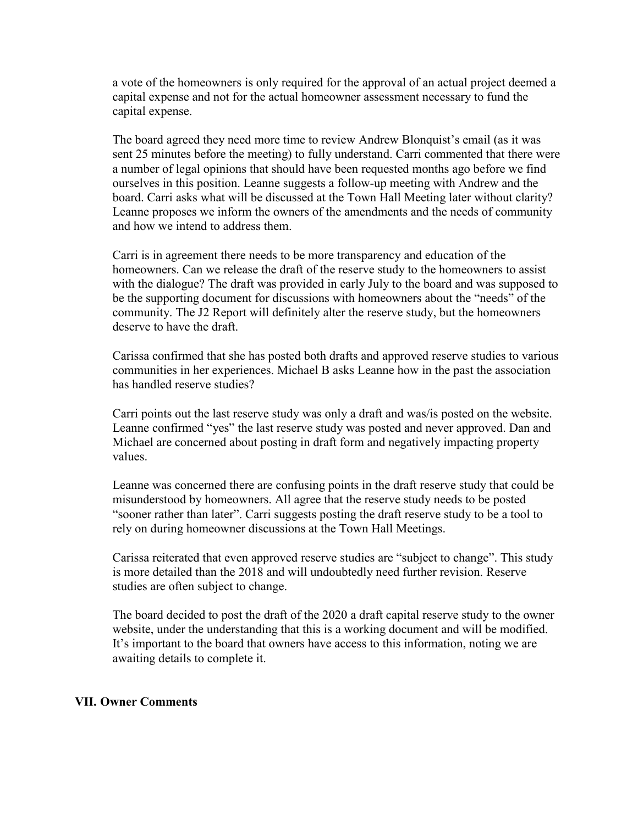a vote of the homeowners is only required for the approval of an actual project deemed a capital expense and not for the actual homeowner assessment necessary to fund the capital expense.

The board agreed they need more time to review Andrew Blonquist's email (as it was sent 25 minutes before the meeting) to fully understand. Carri commented that there were a number of legal opinions that should have been requested months ago before we find ourselves in this position. Leanne suggests a follow-up meeting with Andrew and the board. Carri asks what will be discussed at the Town Hall Meeting later without clarity? Leanne proposes we inform the owners of the amendments and the needs of community and how we intend to address them.

Carri is in agreement there needs to be more transparency and education of the homeowners. Can we release the draft of the reserve study to the homeowners to assist with the dialogue? The draft was provided in early July to the board and was supposed to be the supporting document for discussions with homeowners about the "needs" of the community. The J2 Report will definitely alter the reserve study, but the homeowners deserve to have the draft.

Carissa confirmed that she has posted both drafts and approved reserve studies to various communities in her experiences. Michael B asks Leanne how in the past the association has handled reserve studies?

Carri points out the last reserve study was only a draft and was/is posted on the website. Leanne confirmed "yes" the last reserve study was posted and never approved. Dan and Michael are concerned about posting in draft form and negatively impacting property values.

Leanne was concerned there are confusing points in the draft reserve study that could be misunderstood by homeowners. All agree that the reserve study needs to be posted "sooner rather than later". Carri suggests posting the draft reserve study to be a tool to rely on during homeowner discussions at the Town Hall Meetings.

Carissa reiterated that even approved reserve studies are "subject to change". This study is more detailed than the 2018 and will undoubtedly need further revision. Reserve studies are often subject to change.

The board decided to post the draft of the 2020 a draft capital reserve study to the owner website, under the understanding that this is a working document and will be modified. It's important to the board that owners have access to this information, noting we are awaiting details to complete it.

#### **VII. Owner Comments**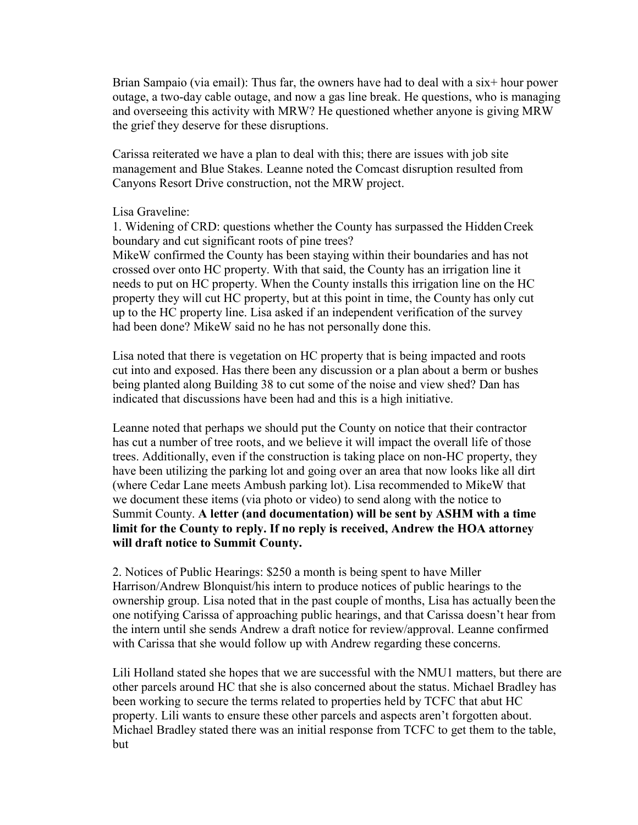Brian Sampaio (via email): Thus far, the owners have had to deal with a six+ hour power outage, a two-day cable outage, and now a gas line break. He questions, who is managing and overseeing this activity with MRW? He questioned whether anyone is giving MRW the grief they deserve for these disruptions.

Carissa reiterated we have a plan to deal with this; there are issues with job site management and Blue Stakes. Leanne noted the Comcast disruption resulted from Canyons Resort Drive construction, not the MRW project.

#### Lisa Graveline:

1. Widening of CRD: questions whether the County has surpassed the Hidden Creek boundary and cut significant roots of pine trees?

MikeW confirmed the County has been staying within their boundaries and has not crossed over onto HC property. With that said, the County has an irrigation line it needs to put on HC property. When the County installs this irrigation line on the HC property they will cut HC property, but at this point in time, the County has only cut up to the HC property line. Lisa asked if an independent verification of the survey had been done? MikeW said no he has not personally done this.

Lisa noted that there is vegetation on HC property that is being impacted and roots cut into and exposed. Has there been any discussion or a plan about a berm or bushes being planted along Building 38 to cut some of the noise and view shed? Dan has indicated that discussions have been had and this is a high initiative.

Leanne noted that perhaps we should put the County on notice that their contractor has cut a number of tree roots, and we believe it will impact the overall life of those trees. Additionally, even if the construction is taking place on non-HC property, they have been utilizing the parking lot and going over an area that now looks like all dirt (where Cedar Lane meets Ambush parking lot). Lisa recommended to MikeW that we document these items (via photo or video) to send along with the notice to Summit County. **A letter (and documentation) will be sent by ASHM with a time limit for the County to reply. If no reply is received, Andrew the HOA attorney will draft notice to Summit County.**

2. Notices of Public Hearings: \$250 a month is being spent to have Miller Harrison/Andrew Blonquist/his intern to produce notices of public hearings to the ownership group. Lisa noted that in the past couple of months, Lisa has actually been the one notifying Carissa of approaching public hearings, and that Carissa doesn't hear from the intern until she sends Andrew a draft notice for review/approval. Leanne confirmed with Carissa that she would follow up with Andrew regarding these concerns.

Lili Holland stated she hopes that we are successful with the NMU1 matters, but there are other parcels around HC that she is also concerned about the status. Michael Bradley has been working to secure the terms related to properties held by TCFC that abut HC property. Lili wants to ensure these other parcels and aspects aren't forgotten about. Michael Bradley stated there was an initial response from TCFC to get them to the table, but